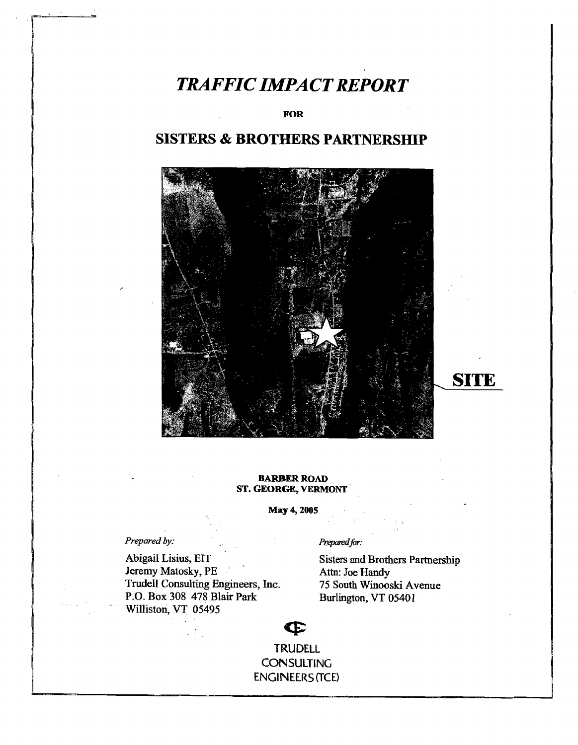# **TRAFFIC IMPACT REPORT**

FOR

# **SISTERS & BROTHERS PARTNERSIDP**



## BARBER ROAD ST. GEORGE, VERMONT

May 4, 2005

*Prepared by:* Prepared*far:* 

Abigail Lisius, EIT<br>
Sisters and Brothers Partnership<br>
Jeremy Matosky, PE<br>
Attn: Joe Handy Jeremy Matosky, PE<br>
Trudell Consulting Engineers, Inc. 75 South Winooski Avenue Trudell Consulting Engineers, Inc. 75 South Winooski Avenue R.O. Box 308 478 Blair Park Burlington, VT 05401 P.O. Box 308 478 Blair Park Williston, VT 05495

**SITE** 

 $\mathbf{P}$ TRUDELL **CONSULTING** ENGINEERS {TCE>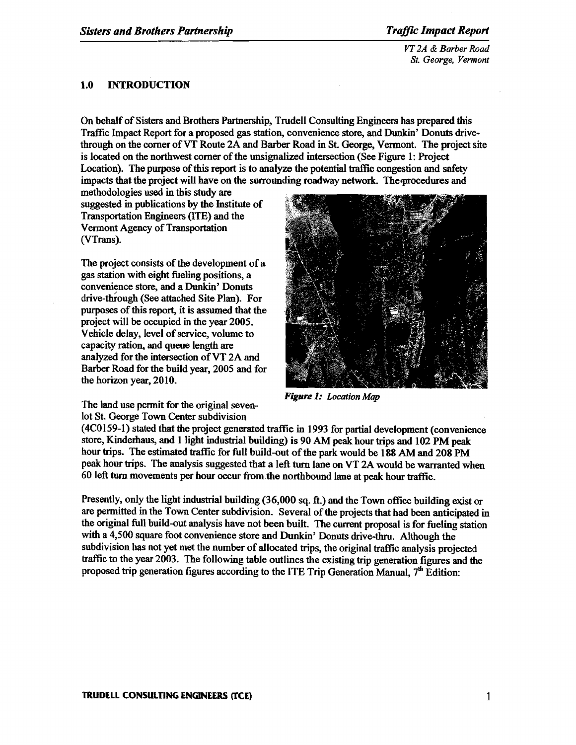*VT 2A* & *Barber Road St. George, Vermont* 

# 1.0 INTRODUCTION

On behalf of Sisters and Brothers Partnership, Trudell Consulting Engineers has prepared this Traffic Impact Report for a proposed gas station, convenience store, and Dunkin' Donuts drivethrough on the comer ofVT Route 2A and Barber Road in St. George, Vermont. The project site is located on the northwest corner of the unsignalized intersection (See Figure 1: Project Location). The purpose of this report is to analyze the potential traffic congestion and safety impacts that the project will have on the surrounding roadway network. The-procedures and

methodologies used in this study are suggested in publications by the Institute of Transportation Engineers (lTE) and the Vermont Agency of Transportation (VTrans).

The project consists of the development of a gas station with eight fueling positions, a convenience store, and a Dunkin' Donuts drive-through (See attached Site Plan). For purposes of this report, it is assumed that the project will be occupied in the year 2005. Vehicle delay, level of service, volume to capacity ration, and queue length are analyzed for the intersection ofVT 2A and Barber Road for the build year, 2005 and for the horizon year, 2010.



*Figure* 1: *Location Map* 

The land use permit for the original sevenlot St. George Town Center subdivision

(4CO159-1) stated that the project generated traffic in 1993 for partial development (convenience store, Kinderhaus, and 1 light industrial building) is 90 AM peak hour trips and 102 PM peak hour trips. The estimated traffic for full build-out of the park would be 188 AM and 208 PM peak hour trips. The analysis suggested that a left tum lane on VT 2A would be warranted when 60 left tum movements per hour occur from .the northbound lane at peak hour traffic..

Presently, only the light industrial building (36,000 sq. ft.) and the Town office building exist or are permitted in the Town Center subdivision. Several of the projects that had been anticipated in the original full build-out analysis have not been built. The current proposal is for fueling station with a 4,500 square foot convenience store and Dunkin' Donuts drive-thru. Although the subdivision has not yet met the number of allocated trips, the original traffic analysis projected traffic to the year 2003. The following table outlines the existing trip generation figures and the proposed trip generation figures according to the ITE Trip Generation Manual,  $7<sup>th</sup>$  Edition: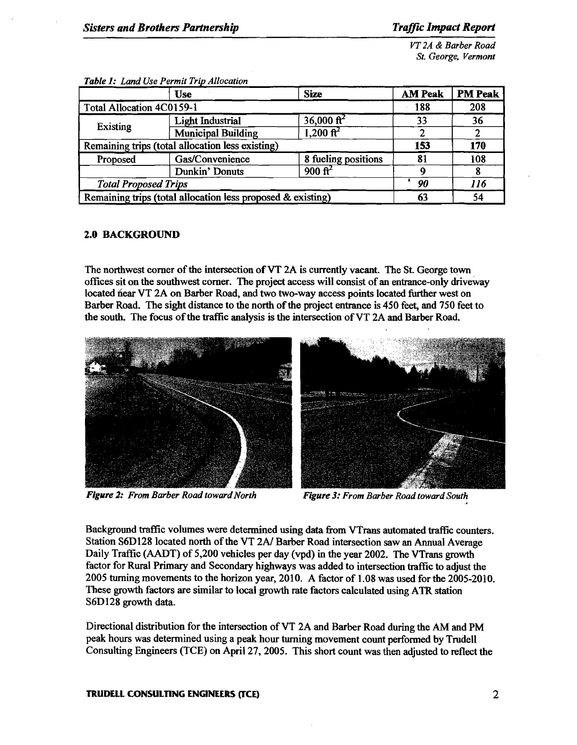*VT 2A* & *Barber Road St. George. Vermont* 

|                                                             | <b>Use</b>                | <b>Size</b>           | <b>AM Peak</b> | <b>PM Peak</b> |
|-------------------------------------------------------------|---------------------------|-----------------------|----------------|----------------|
| <b>Total Allocation 4C0159-1</b>                            |                           |                       | 188            | 208            |
|                                                             | <b>Light Industrial</b>   | $36,000 \text{ ft}^2$ | 33             | 36             |
| Existing                                                    | <b>Municipal Building</b> |                       |                |                |
| Remaining trips (total allocation less existing)            | 153                       | 170                   |                |                |
| Proposed                                                    | Gas/Convenience           | 8 fueling positions   | 81             | 108            |
|                                                             | Dunkin' Donuts            | $900 \text{ ft}^2$    |                |                |
| <b>Total Proposed Trips</b>                                 | 90                        | 116                   |                |                |
| Remaining trips (total allocation less proposed & existing) | 63                        | 54                    |                |                |

**Table 1:** Land Use Permit Trip Allocation

## 2.0 BACKGROUND

The northwest corner of the intersection of VT 2A is currently vacant. The St. George town offices sit on the southwest comer. The project access will consist of an entrance-only driveway located near VT 2A on Barber Road, and two two-way access points located further west on Barber Road. The sight distance to the north of the project entrance is 450 feet, and 750 feet to the south. The focus of the traffic analysis is the intersection of VT 2A and Barber Road.



**Figure 2:** From Barber Road toward North Figure 3: From Barber Road toward South

Background traffic volumes were determined using data from VTrans automated traffic counters. Station S6D128 located north of the VT 2A/ Barber Road intersection saw an Annual Average Daily Traffic (AADT) of 5,200 vehicles per day (vpd) in the year 2002. The VTrans growth factor for Rural Primary and Secondary highways was added to intersection traffic to adjust the 2005 turning movements to the horizon year, 2010. A factor of 1.08 was used for the 2005-2010. These growth factors are similar to local growth rate factors calculated using ATR station S6D128 growth data.

Directional distribution for the intersection of VT 2A and Barber Road during the AM and PM peak hours was determined using a peak hour turning movement count performed by Trudell Consulting Engineers (TCE) on April 27, 2005. This short count was then adjusted to reflect the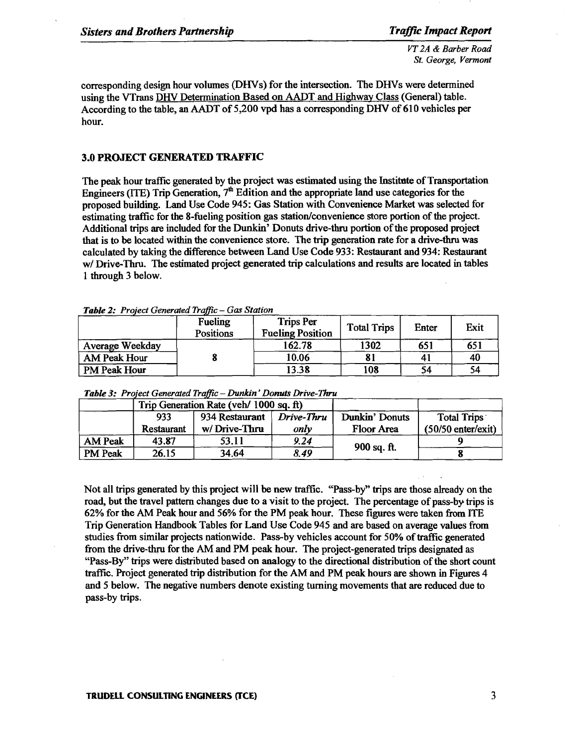*VT 2A* & *Barber Road St. George, Vermont* 

corresponding design hour volumes (DHVs) for the intersection. The DHVs were determined using the VTrans DHV Determination Based on AADT and Highway Class (General) table. According to the table, an AADT of 5,200 vpd has a corresponding DHV of 610 vehicles per hour.

### 3.0 PROJECT GENERATED TRAFFIC

The peak hour traffic generated by the project was estimated using the Institute of Transportation Engineers (ITE) Trip Generation,  $7<sup>th</sup>$  Edition and the appropriate land use categories for the proposed building. Land Use Code 945: Gas Station with Convenience Market was selected for estimating traffic for the 8-fueling position gas station/convenience store portion of the project. Additional trips are included for the Dunkin' Donuts drive-thru portion ofthe proposed project that is to be located within the convenience store. The trip generation rate for a drive-thru was calculated by taking the difference between Land Use Code 933: Restaurant and 934: Restaurant w/ Drive-Thru, The estimated project generated trip calculations and results are located in tables 1 through 3 below.

|                     | Fueling<br><b>Positions</b> | <b>Trips Per</b><br><b>Fueling Position</b> | <b>Total Trips</b> | Enter | Exit |
|---------------------|-----------------------------|---------------------------------------------|--------------------|-------|------|
| Average Weekday     |                             | 162.78                                      | 1302               | 651   | 651  |
| <b>AM Peak Hour</b> |                             | 10.06                                       |                    |       | 40   |
| PM Peak Hour        |                             | 13.38                                       | 108                | 54    | 54   |

*Table* 2: *Project Generated Traffic* - *Gas Station* 

|                |            | Trip Generation Rate (veh/ 1000 sq. ft) |            |                   |                      |
|----------------|------------|-----------------------------------------|------------|-------------------|----------------------|
|                | 933        | 934 Restaurant                          | Drive-Thru | Dunkin' Donuts    | Total Trips          |
|                | Restaurant | w/Drive-Thru                            | only       | <b>Floor Area</b> | $(50/50$ enter/exit) |
| <b>AM Peak</b> | 43.87      | 53.11                                   | 9.24       | 900 sq. ft.       |                      |
| <b>PM Peak</b> | 26.15      | 34.64                                   | 8.49       |                   |                      |

*Table* 3: *Project Generated Traffic* - *Dunkin' Donuts Drive-*Thru

Not all trips generated by this project will be new traffic. "Pass-by" trips are those already on the road, but the travel pattern changes due to a visit to the project. The percentage of pass-by trips is 62% for the AM Peak hour and 56% for the PM peak hour. These figures were taken from lTE Trip Generation Handbook Tables for Land Use Code 945 and are based on average values from studies from similar projects nationwide. Pass-by vehicles account for 50% of traffic generated from the drive-thru for the AM and PM peak hour. The project-generated trips designated as "Pass-By" trips were distributed based on analogy to the directional distribution of the short count traffic. Project generated trip distribution for the AM and PM peak hours are shown in Figures 4 and 5 below. The negative numbers denote existing turning movements that are reduced due to pass-by trips.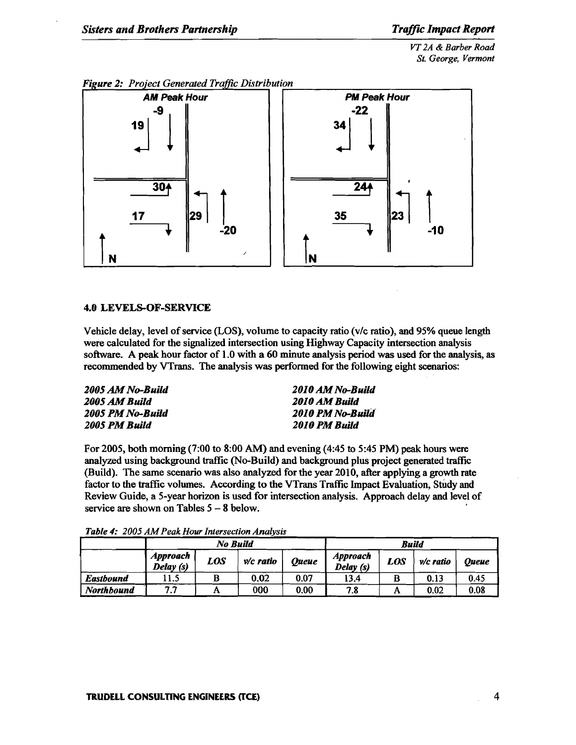*VT 2A* & *Barber Road St. George, Vermont* 



# *Figure 2: Project Generated Traffic Distribution*

# 4.0 LEVELS-OF-SERVICE

Vehicle delay, level of service (LOS), volume to capacity ratio (v/c ratio), and 95% queue length were calculated for the signalized intersection using Highway Capacity intersection analysis software. A peak hour factor of 1.0 with a 60 minute analysis period was used for the analysis, as recommended by VTrans. The analysis was performed for the following eight scenarios:

| 2005 AM No-Build | 2010 AM No-Build |
|------------------|------------------|
| 2005 AM Build    | 2010 AM Build    |
| 2005 PM No-Build | 2010 PM No-Build |
| 2005 PM Build    | 2010 PM Build    |

For 2005, both morning (7:00 to 8:00 AM) and evening (4:45 to 5:45 PM) peak hours were analyzed using background traffic (No-Build) and background plus project generated traffic (Build). The same scenario was also analyzed for the year 2010, after applying a growth rate factor to the traffic volumes. According to the VTrans Traffic Impact Evaluation, Study and Review Guide, a 5-year horizon is used for intersection analysis. Approach delay and level of service are shown on Tables  $5 - 8$  below.

|                   |                                                                           | No Build |      | Build |                              |            |             |              |
|-------------------|---------------------------------------------------------------------------|----------|------|-------|------------------------------|------------|-------------|--------------|
|                   | <b>Approach</b><br><b>LOS</b><br>$v/c$ ratio<br><b>Queue</b><br>Delay (s) |          |      |       | <b>Approach</b><br>Delay (s) | <b>LOS</b> | $v/c$ ratio | <b>Oueue</b> |
| <b>Eastbound</b>  | 11.5                                                                      |          | 0.02 | 0.07  | 13.4                         |            | 0.13        | 0.45         |
| <b>Northbound</b> | 7.7                                                                       | A        | 000  | 0.00  | 7.8                          | A          | 0.02        | 0.08         |

*Table* 4: *2005 AMPeak Hour Intersection Analysis*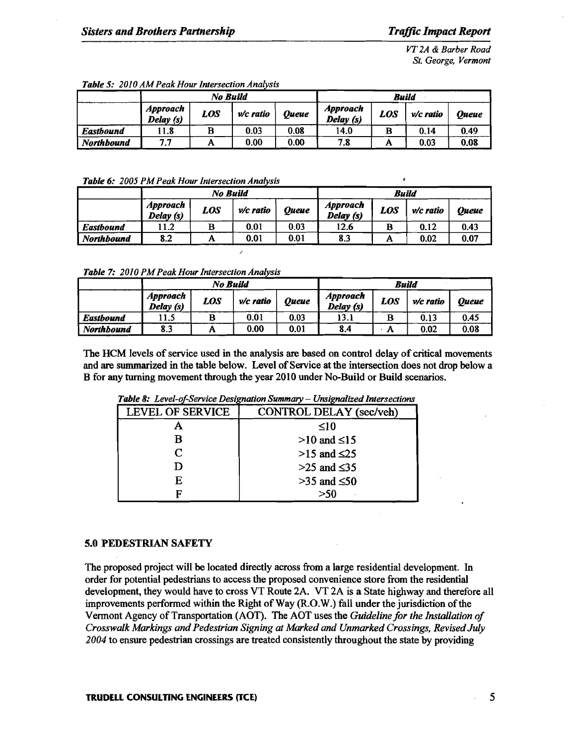*VT 2A* & *Barber Road St. George, Vermont* 

|                   |                                                                          | No Build |                              | <b>Build</b> |             |              |      |      |
|-------------------|--------------------------------------------------------------------------|----------|------------------------------|--------------|-------------|--------------|------|------|
|                   | <b>Approach</b><br><b>LOS</b><br><b>Queue</b><br>$v/c$ ratio<br>Delay(s) |          | <b>Approach</b><br>Delay (s) | LOS          | $v/c$ ratio | <b>Oueue</b> |      |      |
| <b>Eastbound</b>  | l 1.8                                                                    | B        | 0.03                         | 0.08         | 14.0        | в            | 0.14 | 0.49 |
| <b>Northbound</b> | 7.7                                                                      | Α        | 0.00                         | 0.00         | 7.8         | A            | 0.03 | 0.08 |

#### **Table 5: 2010 AM Peak Hour Intersection Analysis**

#### *Table* 6: *2005 PM Peak Hour Intersection Analysis* !.

|                  |                             | No Build                           |      | Build |      |     |             |              |
|------------------|-----------------------------|------------------------------------|------|-------|------|-----|-------------|--------------|
|                  | <b>Approach</b><br>Delay(s) | <b>LOS</b><br>Oueue<br>$v/c$ ratio |      |       |      | LOS | $v/c$ ratio | <b>Oueue</b> |
| <b>Eastbound</b> | .1.2                        | B                                  | 0.01 | 0.03  | 12.6 | B   | 0.12        | 0.43         |
| Northbound       | 8.2                         | A                                  | 0.01 | 0.01  | 8.3  | A   | 0.02        | 0.07         |

**Table 7:** 2010 PM Peak Hour Intersection Analysis

|                   |                                                           | No Build | Build |      |                              |     |           |       |
|-------------------|-----------------------------------------------------------|----------|-------|------|------------------------------|-----|-----------|-------|
|                   | <b>Approach</b><br>LOS<br>Oueue<br>v/c ratio<br>Delay (s) |          |       |      | <b>Approach</b><br>Delay (s) | LOS | v/c ratio | Oueue |
| <b>Eastbound</b>  | l 1.5                                                     | в        | 0.01  | 0.03 | 13.1                         | в   | 0.13      | 0.45  |
| <b>Northbound</b> | 8.3                                                       | A        | 0.00  | 0.01 | 8.4                          | А   | 0.02      | 0.08  |

The HeM levels of service used in the analysis are based on control delay of critical movements and are summarized in the table below. Level of Service at the intersection does not drop below a B for any turning movement through the year 2010 under No-Build or Build scenarios.

| CONTROL DELAY (sec/veh) |
|-------------------------|
| ≤10                     |
| $>10$ and $\leq 15$     |
| $>15$ and $\leq$ 25     |
| $>25$ and $\leq$ 35     |
| $>35$ and $\leq 50$     |
| >50                     |
|                         |

*Table 8: Level-of-Service Designation Summary - Unsignalized Intersections* 

### 5.0 PEDESTRIAN SAFETY

The proposed project will be located directly across from a large residential development. In order for potential pedestrians to access the proposed convenience store from the residential development, they would have to cross VT Route 2A. VT 2A is a State highway and therefore all improvements performed within the Right of Way (R.O.W.) fall under the jurisdiction of the Vermont Agency of Transportation (AOT). The AOT uses the *Guidelinefor the Installation of Crosswalk Markings and Pedestrian Signing at Marked and Unmarked Crossings, RevisedJuly 2004* to ensure pedestrian crossings are treated consistently throughout the state by providing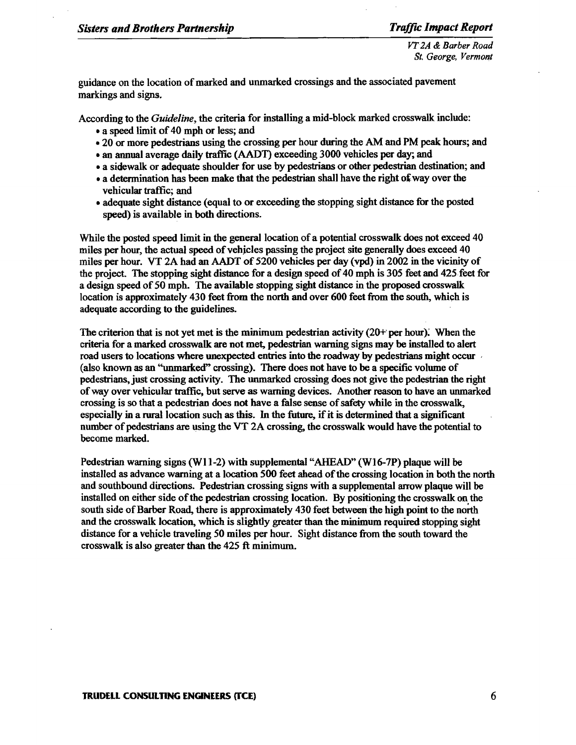*VT2A* & *Barber Road St. George, Vermont* 

guidance on the location of marked and unmarked crossings and the associated pavement markings and signs.

According to the *Guideline,* the criteria for installing a mid-block marked crosswalk include:

- a speed limit of 40 mph or less; and
- 20 or more pedestrians using the crossing per hour during the AM and PM peak hours; and
- an annual average daily traffic (AADT) exceeding 3000 vehicles per day; and
- a sidewalk or adequate shoulder for use by pedestrians or other pedestrian destination; and
- a determination has been make that the pedestrian shall have the right of way over the vehicular traffic; and
- adequate sight distance (equal to or exceeding the stopping sight distance for the posted speed) is available in both directions.

While the posted speed limit in the general location of a potential crosswalk does not exceed 40 miles per hour, the actual speed of vehicles passing the project site generally does exceed 40 miles per hour. VT 2A had an AADT of 5200 vehicles per day (vpd) in 2002 in the vicinity of the project. The stopping sight distance for a design speed of 40 mph is 305 feet and 425 feet for a design speed of 50 mph. The available stopping sight distance in the proposed crosswalk location is approximately 430 feet from the north and over 600 feet from the south, which is adequate according to the guidelines.

The criterion that is not yet met is the minimum pedestrian activity  $(20+$  per hour). When the criteria for a marked crosswalk are not met, pedestrian warning signs may be installed to alert road users to locations where unexpected entries into the roadway by pedestrians might occur ' (also known as an "unmarked" crossing). There does not have to be a specific volume of pedestrians, just crossing activity. The unmarked crossing does not give the pedestrian the right ofway over vehicular traffic, but serve as warning devices. Another reason to have an unmarked crossing is so that a pedestrian does not have a false sense of safety while in the crosswalk, especially in a rural location such as this. In the future, if it is determined that a significant number of pedestrians are using the VT 2A crossing, the crosswalk would have the potential to become marked.

Pedestrian warning signs (WI 1-2) with supplemental "AHEAD" (Wl6-7P) plaque will be installed as advance warning at a location 500 feet ahead of the crossing location in both the north and southbound directions. Pedestrian crossing signs with a supplemental arrow plaque will be installed on either side of the pedestrian crossing location. By positioning the crosswalk on the south side of Barber Road, there is approximately 430 feet between the high point to the north and the crosswalk location. which is slightly greater than the minimum required stopping sight distance for a vehicle traveling 50 miles per hour. Sight distance from the south toward the crosswalk is also greater than the  $425$  ft minimum.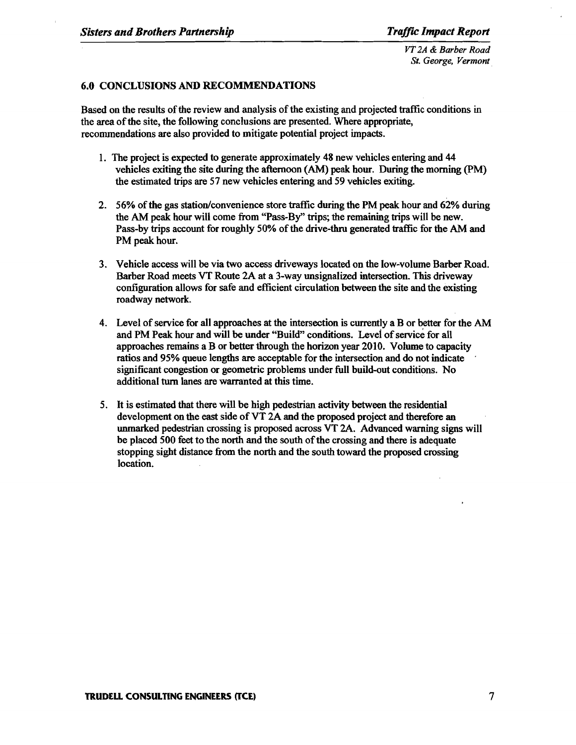*VT 2A* & *Barber Road St. George, Vermont.* 

# 6.0 CONCLUSIONS AND RECOMMENDATIONS

Based on the results of the review and analysis of the existing and projected traffic conditions in the area of the site, the following conclusions are presented. Where appropriate, recommendations are also provided to mitigate potential project impacts.

- 1. The project is expected to generate approximately 48 new vehicles entering and 44 vehicles exiting the site during the afternoon (AM) peak hour. During the morning (PM) the estimated trips are 57 new vehicles entering and 59 vehicles exiting,
- 2. 56% of the gas station/convenience store traffic during the PM peak hour and 62% during the AM peak hour will come from "Pass-By" trips; the remaining trips will be new. Pass-by trips account for roughly 50% of the drive-thru generated traffic for the AM and PM peak hour.
- 3. Vehicle access will be via two access driveways located on the low-volume Barber Road. Barber Road meets VT Route 2A at a 3-way unsignalized intersection. This driveway configuration allows for safe and efficient circulation between the site and the existing roadway network.
- 4. Level of service for all approaches at the intersection is currently a B or better for the AM and PM Peak hour and will be under "Build" conditions. Level of service for all approaches remains a B or better through the horizon year 2010. Volume to capacity ratios and 95% queue lengths are acceptable for the intersection and do not indicate significant congestion or geometric problems under full build-out conditions. No additional tum lanes are warranted at this time.
- 5. It is estimated that there will be high pedestrian activity between the residential development on the east side of VT 2A and the proposed project and therefore an unmarked pedestrian crossing is proposed across VT 2A. Advanced warning signs will be placed 500 feet to the north and the south of the crossing and there is adequate stopping sight distance from the north and the south toward the proposed crossing location.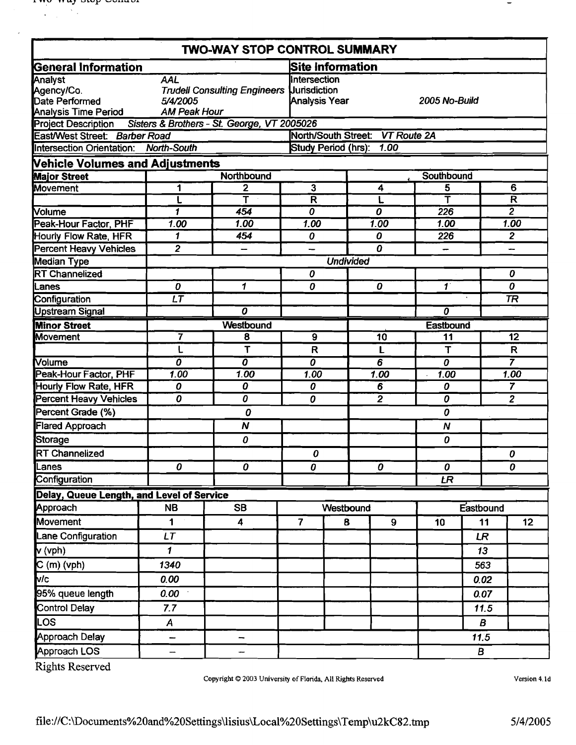|                                                                 |                                        | <b>TWO-WAY STOP CONTROL SUMMARY</b>            |                                                                   |                                |  |                                 |                                        |           |                                           |
|-----------------------------------------------------------------|----------------------------------------|------------------------------------------------|-------------------------------------------------------------------|--------------------------------|--|---------------------------------|----------------------------------------|-----------|-------------------------------------------|
| <b>General Information</b>                                      |                                        |                                                |                                                                   | <b>Site Information</b>        |  |                                 |                                        |           |                                           |
| Analyst                                                         | <b>AAL</b>                             |                                                | <b>Intersection</b>                                               |                                |  |                                 |                                        |           |                                           |
| Agency/Co.                                                      |                                        | <b>Trudell Consulting Engineers</b>            |                                                                   | <b>Uurisdiction</b>            |  |                                 |                                        |           |                                           |
| Date Performed                                                  | 5/4/2005                               |                                                |                                                                   | Analysis Year<br>2005 No-Build |  |                                 |                                        |           |                                           |
| Analysis Time Period                                            | <b>AM Peak Hour</b>                    |                                                |                                                                   |                                |  |                                 |                                        |           |                                           |
| Project Description Sisters & Brothers - St. George, VT 2005026 |                                        |                                                |                                                                   |                                |  |                                 |                                        |           |                                           |
| East/West Street: Barber Road                                   |                                        |                                                |                                                                   |                                |  | North/South Street: VT Route 2A |                                        |           |                                           |
| Intersection Orientation: North-South                           |                                        |                                                | Study Period (hrs): 1.00                                          |                                |  |                                 |                                        |           |                                           |
| <b>Vehicle Volumes and Adjustments</b>                          |                                        |                                                |                                                                   |                                |  |                                 |                                        |           |                                           |
| <b>Major Street</b>                                             |                                        | Northbound                                     |                                                                   |                                |  |                                 | Southbound                             |           |                                           |
| <b>Movement</b>                                                 | 1                                      | 2<br>$\overline{\sf T}$                        | $\overline{\mathbf{3}}$                                           |                                |  | 4                               | 5<br>Ŧ                                 |           | 6                                         |
|                                                                 |                                        |                                                | $\overline{\mathsf{R}}$<br>$\overline{\boldsymbol{\mathfrak{o}}}$ |                                |  | L<br>$\overline{o}$             | 226                                    |           | $\overline{\mathsf{R}}$<br>$\overline{2}$ |
| <b>Nolume</b>                                                   | 1                                      | 454                                            |                                                                   |                                |  |                                 |                                        |           | 1.00                                      |
| Peak-Hour Factor, PHF                                           | 1.00                                   | 1.00                                           | 1.00                                                              |                                |  | 1.00                            | 1.00                                   |           |                                           |
| Hourly Flow Rate, HFR                                           | 1                                      | 454                                            | 0                                                                 |                                |  | 0                               | 226                                    |           | $\overline{2}$                            |
| <b>Percent Heavy Vehicles</b>                                   | $\overline{2}$                         |                                                |                                                                   |                                |  | $\Omega$                        |                                        |           |                                           |
| Median Type<br><b>RT</b> Channelized                            |                                        |                                                | 0                                                                 | <b>Undivided</b>               |  |                                 |                                        |           | 0                                         |
| Lanes                                                           | $\boldsymbol{\theta}$                  | 1                                              | 0                                                                 |                                |  | 0                               | $\overline{\boldsymbol{\mathcal{I}}}$  |           | $\boldsymbol{o}$                          |
| Configuration                                                   | $\overline{\mathsf{LT}}$               |                                                |                                                                   |                                |  |                                 |                                        |           | <b>TR</b>                                 |
| <b>Upstream Signal</b>                                          |                                        | 0                                              |                                                                   |                                |  |                                 | $\overline{\boldsymbol{\mathfrak{o}}}$ |           |                                           |
| <b>Minor Street</b>                                             |                                        | Westbound                                      |                                                                   |                                |  |                                 | Eastbound                              |           |                                           |
| Movement                                                        |                                        | $\overline{9}$<br>7<br>$\overline{\mathbf{8}}$ |                                                                   |                                |  | $\overline{10}$                 | 11                                     |           | 12                                        |
|                                                                 | L                                      | T                                              | R                                                                 |                                |  | L                               | T                                      |           | $\mathsf{R}$                              |
| <b>Molume</b>                                                   | $\overline{\boldsymbol{\mathfrak{o}}}$ | $\overline{o}$                                 | $\overline{o}$                                                    |                                |  | $\overline{6}$                  | $\overline{o}$                         |           | $\overline{7}$                            |
| Peak-Hour Factor, PHF                                           | 1.00                                   | 1.00                                           | 1.00                                                              |                                |  | 1.00                            | 1.00                                   |           | 1.00                                      |
| Hourly Flow Rate, HFR                                           | $\boldsymbol{o}$                       | 0                                              | 0                                                                 |                                |  | 6                               | 0                                      |           | $\overline{7}$                            |
| <b>Percent Heavy Vehicles</b>                                   | O                                      | $\overline{\boldsymbol{\theta}}$               | 0                                                                 |                                |  | $\overline{2}$                  | $\overline{o}$                         |           | $\overline{2}$                            |
| Percent Grade (%)                                               |                                        | 0                                              |                                                                   |                                |  |                                 | 0                                      |           |                                           |
| <b>Flared Approach</b>                                          |                                        | $\boldsymbol{N}$                               |                                                                   |                                |  |                                 | $\boldsymbol{N}$                       |           |                                           |
| Storage                                                         |                                        | 0                                              |                                                                   |                                |  |                                 | 0                                      |           |                                           |
| <b>RT Channelized</b>                                           |                                        |                                                | 0                                                                 |                                |  |                                 |                                        |           | 0                                         |
| Lanes                                                           | 0                                      | 0                                              | $\overline{o}$                                                    |                                |  | $\ddot{\mathbf{0}}$             | $\pmb{o}$                              |           | $\boldsymbol{o}$                          |
| Configuration                                                   |                                        |                                                |                                                                   |                                |  |                                 | E                                      |           |                                           |
| Delay, Queue Length, and Level of Service                       |                                        |                                                |                                                                   |                                |  |                                 |                                        |           |                                           |
| Approach                                                        | <b>NB</b>                              | <b>SB</b>                                      |                                                                   | Westbound                      |  |                                 |                                        | Eastbound |                                           |
| <b>Movement</b>                                                 | 1                                      | 4                                              | $\overline{7}$                                                    | 8                              |  | 9                               | 10                                     | 11        | 12 <sub>2</sub>                           |
| Lane Configuration                                              | LT                                     |                                                |                                                                   |                                |  |                                 |                                        | <b>LR</b> |                                           |
| $\mathbf{v}$ (vph)                                              | 1                                      |                                                |                                                                   |                                |  |                                 |                                        | 13        |                                           |
| $C(m)$ (vph)                                                    | 1340                                   |                                                |                                                                   |                                |  |                                 |                                        | 563       |                                           |
| Mc.                                                             | 0.00                                   |                                                |                                                                   |                                |  |                                 |                                        | 0.02      |                                           |
| 95% queue length                                                | 0.00                                   |                                                |                                                                   |                                |  |                                 |                                        | 0.07      |                                           |
| Control Delay                                                   | 7.7                                    |                                                |                                                                   |                                |  |                                 |                                        | 11.5      |                                           |
| LOS.                                                            | $\boldsymbol{A}$                       |                                                |                                                                   |                                |  |                                 |                                        | В         |                                           |
| Approach Delay                                                  | <u></u>                                | --                                             |                                                                   |                                |  |                                 |                                        | 11.5      |                                           |
| Approach LOS                                                    | -                                      | --                                             |                                                                   |                                |  |                                 |                                        | B         |                                           |

Copyright © 2003 University of Florida, All Rights Reserved

Version 4.1d

 $\overline{\phantom{a}}$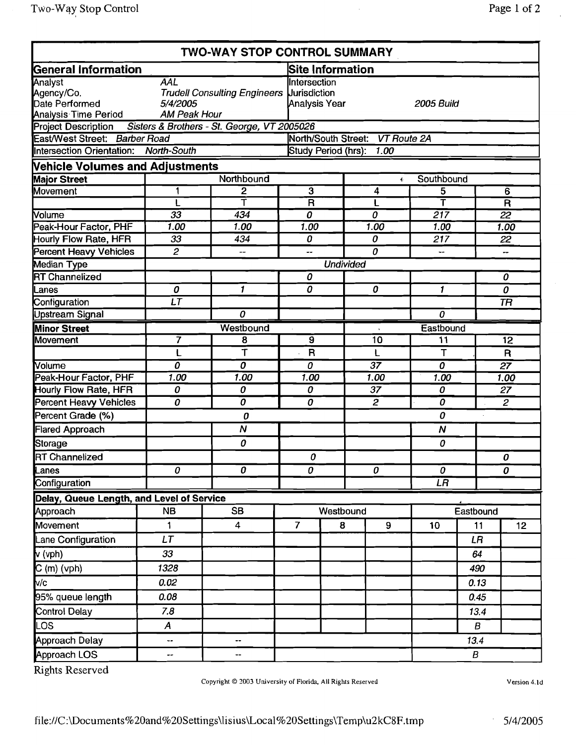|                                                                        |                                        | TWO-WAY STOP CONTROL SUMMARY                     |                     |                                             |                  |                         |  |  |
|------------------------------------------------------------------------|----------------------------------------|--------------------------------------------------|---------------------|---------------------------------------------|------------------|-------------------------|--|--|
| General Information                                                    |                                        |                                                  | Site Information    |                                             |                  |                         |  |  |
| Analyst<br>Agency/Co.<br>Date Performed<br><b>Analysis Time Period</b> | AAL<br>5/4/2005<br><b>AM Peak Hour</b> | <b>Trudell Consulting Engineers Uurisdiction</b> |                     | Intersection<br>Analysis Year<br>2005 Build |                  |                         |  |  |
| Project Description Sisters & Brothers - St. George, VT 2005026        |                                        |                                                  |                     |                                             |                  |                         |  |  |
| East/West Street: Barber Road<br>Intersection Orientation: North-South |                                        |                                                  | North/South Street: | VT Route 2A<br>Study Period (hrs): 1.00     |                  |                         |  |  |
| <b>Nehicle Volumes and Adjustments</b>                                 |                                        |                                                  |                     |                                             |                  |                         |  |  |
| <b>Major Street</b>                                                    |                                        | Northbound                                       |                     | $\ddot{\phantom{a}}$                        | Southbound       |                         |  |  |
| Movement                                                               |                                        | 2                                                | 3                   | 4                                           | 5                | 6                       |  |  |
|                                                                        |                                        |                                                  | $\ddot{\mathsf{R}}$ |                                             | т                | $\overline{\mathsf{R}}$ |  |  |
| <b>Volume</b>                                                          | 33                                     | 434                                              | 0                   | 0                                           | $\overline{217}$ | $\overline{22}$         |  |  |
| Peak-Hour Factor, PHF                                                  | 1.00                                   | 1.00                                             | 1.00                | 1.00                                        | 1.00             | 1.00                    |  |  |
| Hourly Flow Rate, HFR                                                  | 33                                     | 434                                              | 0                   | 0                                           | 217              | 22                      |  |  |
| Percent Heavy Vehicles                                                 | 2                                      | $\overline{\phantom{a}}$                         | --                  | 0                                           |                  |                         |  |  |
| Median Type                                                            |                                        |                                                  |                     | <b>Undivided</b>                            |                  |                         |  |  |
| <b>RT Channelized</b>                                                  |                                        |                                                  | 0                   |                                             |                  | 0                       |  |  |
| ll anne.                                                               | $\Omega$                               | $\mathbf{f}$                                     | $\Omega$            | $\Omega$                                    | $\mathbf{f}$     | $\sqrt{ }$              |  |  |

| East/West Street: Barber Road                    |                  |                              |                         |                  | North/South Street: VT Route 2A |                         |           |                         |  |
|--------------------------------------------------|------------------|------------------------------|-------------------------|------------------|---------------------------------|-------------------------|-----------|-------------------------|--|
| <b>Intersection Orientation:</b>                 | North-South      |                              |                         |                  | Study Period (hrs): 1.00        |                         |           |                         |  |
| <b>Vehicle Volumes and Adjustments</b>           |                  |                              |                         |                  |                                 |                         |           |                         |  |
| <b>Major Street</b>                              |                  | Northbound                   |                         |                  | $\Phi$                          | Southbound              |           |                         |  |
| Movement                                         |                  | 2                            | $\overline{\mathbf{3}}$ |                  | 4                               | 5                       |           | $\overline{6}$          |  |
|                                                  |                  | Ŧ                            | $\overline{\mathsf{R}}$ |                  | L                               | $\overline{\mathsf{r}}$ |           | $\overline{\mathsf{R}}$ |  |
| Volume                                           | $\overline{33}$  | 434                          | $\overline{o}$          |                  | 0                               | $\overline{217}$        |           | $\overline{22}$         |  |
| Peak-Hour Factor, PHF                            | 1.00             | 1.00                         | 1.00                    |                  | 1.00                            | 1.00                    |           | 1.00                    |  |
| <b>Hourly Flow Rate, HFR</b>                     | 33               | 434                          | 0                       |                  | 0                               | 217                     |           | 22                      |  |
| <b>Percent Heavy Vehicles</b>                    | $\overline{c}$   | $\overline{\phantom{a}}$     | --                      |                  | 0                               | —                       |           | --                      |  |
| Median Type                                      |                  |                              |                         | <b>Undivided</b> |                                 |                         |           |                         |  |
| <b>RT Channelized</b>                            |                  |                              | 0                       |                  |                                 |                         |           | $\overline{o}$          |  |
| Lanes                                            | 0                | $\mathbf{1}$                 | $\overline{o}$          |                  | 0                               | $\mathbf{1}$            |           | 0                       |  |
| Configuration                                    | LT               |                              |                         |                  |                                 |                         |           | <b>TR</b>               |  |
| <b>Upstream Signal</b>                           |                  | 0                            |                         |                  |                                 | 0                       |           |                         |  |
| <b>Minor Street</b>                              |                  | Westbound                    | $\overline{9}$          |                  |                                 | Eastbound               |           |                         |  |
| <b>Movement</b>                                  | 7                | 8<br>$\overline{\mathsf{T}}$ | $\mathsf R$             |                  | 10                              | 11<br>$\mathsf T$       |           | $\overline{12}$         |  |
| Volume                                           | 0                | 0                            | 0                       |                  | L<br>$\overline{37}$            | $\overline{o}$          |           | $\mathsf{R}$            |  |
| Peak-Hour Factor, PHF                            | 1.00             | 1.00                         | 1.00                    |                  | 1.00                            | 1.00                    |           | $\overline{27}$<br>1.00 |  |
| Hourly Flow Rate, HFR                            | 0                | 0                            | 0                       |                  | 37                              | 0                       |           | 27                      |  |
| <b>Percent Heavy Vehicles</b>                    | $\overline{o}$   | $\overline{o}$               | $\boldsymbol{o}$        |                  | 2                               | $\overline{o}$          |           | $\mathbf{2}$            |  |
| Percent Grade (%)                                |                  | 0                            |                         |                  |                                 | 0                       |           |                         |  |
| <b>Flared Approach</b>                           |                  | $\boldsymbol{N}$             |                         |                  |                                 | N                       |           |                         |  |
| <b>Storage</b>                                   |                  | 0                            |                         |                  |                                 | 0                       |           |                         |  |
| <b>RT Channelized</b>                            |                  |                              | $\boldsymbol{0}$        |                  |                                 |                         |           | 0                       |  |
| Lanes                                            | $\boldsymbol{o}$ | $\boldsymbol{o}$             | $\boldsymbol{o}$        |                  | 0                               | 0                       |           | 0                       |  |
| Configuration                                    |                  |                              |                         |                  |                                 | LR                      |           |                         |  |
| Delay, Queue Length, and Level of Service        |                  |                              |                         |                  |                                 |                         |           |                         |  |
| Approach                                         | <b>NB</b>        | <b>SB</b>                    |                         | Westbound        |                                 |                         | Eastbound |                         |  |
| Movement                                         | 1                | 4                            | $\overline{7}$          | 8                | 9                               | 10                      | 11        | 12                      |  |
| Lane Configuration                               | LT               |                              |                         |                  |                                 |                         | LR        |                         |  |
| $\sqrt{(vph)}$                                   | 33               |                              |                         |                  |                                 |                         | 64        |                         |  |
| $\frac{C \text{ (m)} \text{ (vph)}}{\text{v/c}}$ | 1328             |                              |                         |                  |                                 |                         | 490       |                         |  |
|                                                  | 0.02             |                              |                         |                  |                                 |                         | 0.13      |                         |  |
| 95% queue length                                 | 0.08             |                              |                         |                  |                                 |                         | 0.45      |                         |  |
| <b>Control Delay</b>                             | 7.8              |                              |                         |                  |                                 |                         | 13.4      |                         |  |
| <b>LOS</b>                                       | A                |                              |                         |                  |                                 |                         | B         |                         |  |
| Approach Delay                                   | ÷                |                              |                         |                  |                                 |                         | 13.4      |                         |  |
| Approach LOS                                     | -−               |                              |                         |                  |                                 |                         | B         |                         |  |

Rights Reserved

Version 4.ld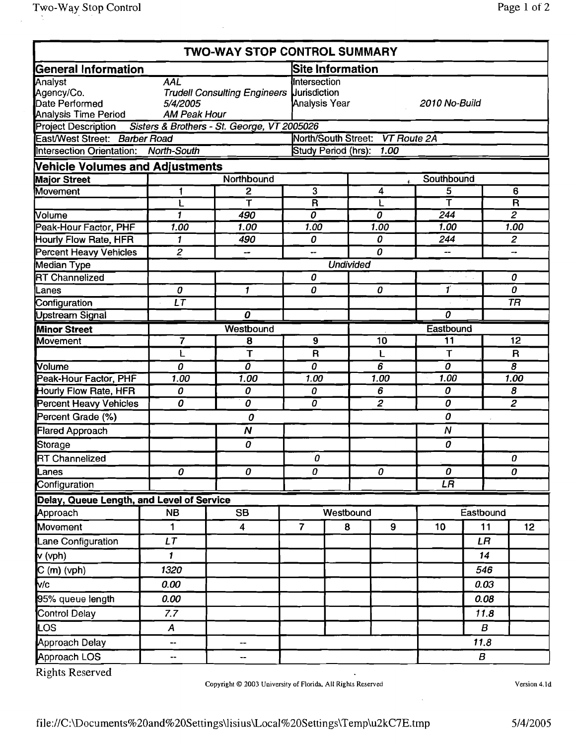|                                                                 |                               | <b>TWO-WAY STOP CONTROL SUMMARY</b>       |                                                       |                   |                                 |                         |                  |                         |  |
|-----------------------------------------------------------------|-------------------------------|-------------------------------------------|-------------------------------------------------------|-------------------|---------------------------------|-------------------------|------------------|-------------------------|--|
| <b>General Information</b>                                      |                               |                                           | <b>Site Information</b>                               |                   |                                 |                         |                  |                         |  |
| Analyst<br>Agency/Co.<br>Date Performed                         | <b>AAL</b><br>5/4/2005        | Trudell Consulting Engineers Uurisdiction | Intersection<br><b>Analysis Year</b><br>2010 No-Build |                   |                                 |                         |                  |                         |  |
| Analysis Time Period                                            | <b>AM Peak Hour</b>           |                                           |                                                       |                   |                                 |                         |                  |                         |  |
| Project Description Sisters & Brothers - St. George, VT 2005026 |                               |                                           |                                                       |                   |                                 |                         |                  |                         |  |
| East/West Street: Barber Road                                   |                               |                                           |                                                       |                   | North/South Street: VT Route 2A |                         |                  |                         |  |
| Intersection Orientation: North-South                           |                               |                                           |                                                       |                   | Study Period (hrs): 1.00        |                         |                  |                         |  |
| <b>Vehicle Volumes and Adjustments</b>                          |                               |                                           |                                                       |                   |                                 |                         |                  |                         |  |
| <b>Major Street</b>                                             |                               | Northbound                                |                                                       |                   | ŝ.                              | Southbound              |                  |                         |  |
| Movement                                                        | 1                             | $\mathbf{2}$                              | 3                                                     |                   | 4                               | 5                       |                  | 6                       |  |
|                                                                 | L                             | $\overline{\bm \tau}$                     | $\overline{\mathsf{R}}$                               |                   | L                               | $\overline{\mathsf{T}}$ |                  | $\overline{\mathsf{R}}$ |  |
| Volume                                                          | $\mathbf{1}$                  | 490                                       | $\overline{\boldsymbol{\theta}}$                      |                   | 0                               | 244                     |                  | $\overline{2}$          |  |
| Peak-Hour Factor, PHF                                           | 1.00                          | 1.00                                      | 1.00                                                  |                   | 1.00                            | 1.00                    |                  | 1.00                    |  |
| Hourly Flow Rate, HFR                                           | 1                             | 490                                       | 0                                                     |                   | 0                               | 244                     |                  | $\mathbf{Z}$            |  |
| <b>Percent Heavy Vehicles</b>                                   | $\overline{2}$                | $\overline{\phantom{a}}$                  | --                                                    |                   | 0                               | $-$                     |                  | ÷                       |  |
| Median Type                                                     |                               |                                           |                                                       | <b>Undivided</b>  |                                 |                         |                  |                         |  |
| <b>RT Channelized</b>                                           |                               |                                           | 0                                                     |                   |                                 | $\mathbf{f}$            |                  | 0<br>0                  |  |
| Lanes                                                           | 0<br>$\overline{\mathsf{LT}}$ | $\mathbf{1}$                              | 0                                                     |                   | 0                               |                         |                  | <b>TR</b>               |  |
| Configuration                                                   |                               | $\overline{o}$                            |                                                       |                   |                                 | $\overline{o}$          |                  |                         |  |
| <b>Upstream Signal</b>                                          |                               |                                           |                                                       |                   |                                 |                         |                  |                         |  |
| <b>Minor Street</b>                                             |                               | Westbound                                 |                                                       |                   |                                 | Eastbound<br>11         |                  | $\overline{12}$         |  |
| <b>Movement</b>                                                 | 7                             | 8                                         | $\boldsymbol{9}$                                      |                   | 10                              | $\mathsf T$             |                  | $\mathbf R$             |  |
| Volume                                                          | L<br>$\overline{o}$           | Т<br>$\overline{o}$                       | $\overline{o}$                                        | $\mathsf{R}$<br>L |                                 | $\overline{o}$          |                  | $\overline{s}$          |  |
| Peak-Hour Factor, PHF                                           | 1.00                          | 1.00                                      | 1.00                                                  |                   | 6<br>1.00                       | 1.00                    |                  | 1.00                    |  |
| Hourly Flow Rate, HFR                                           | 0                             | 0                                         | 0                                                     |                   | 6                               | 0                       |                  | 8                       |  |
| <b>Percent Heavy Vehicles</b>                                   | 0                             | $\overline{o}$                            | 0                                                     |                   | $\overline{2}$                  | 0                       |                  | $\overline{2}$          |  |
| Percent Grade (%)                                               |                               | 0                                         |                                                       |                   |                                 | 0                       |                  |                         |  |
| <b>Flared Approach</b>                                          |                               | $\boldsymbol{N}$                          |                                                       |                   |                                 | $\boldsymbol{N}$        |                  |                         |  |
| Storage                                                         |                               | $\boldsymbol{o}$                          |                                                       |                   |                                 | 0                       |                  |                         |  |
| <b>RT</b> Channelized                                           |                               |                                           | 0                                                     |                   |                                 |                         |                  | 0                       |  |
| Lanes                                                           | $\overline{o}$                | $\overline{\boldsymbol{\theta}}$          | 0                                                     |                   | $\boldsymbol{\theta}$           | 0                       |                  | 0                       |  |
| Configuration                                                   |                               |                                           |                                                       |                   |                                 | LR                      |                  |                         |  |
| Delay, Queue Length, and Level of Service                       |                               |                                           |                                                       |                   |                                 |                         |                  |                         |  |
| Approach                                                        | <b>NB</b>                     | <b>SB</b>                                 |                                                       | Westbound         |                                 |                         | Eastbound        |                         |  |
| Movement                                                        | 1                             | 4                                         | $\overline{7}$                                        | 8                 | 9                               | 10                      | 11               | 12                      |  |
| Lane Configuration                                              | LT                            |                                           |                                                       |                   |                                 |                         | LR               |                         |  |
| $\mathbf{v}$ (vph)                                              | 1                             |                                           |                                                       |                   |                                 |                         | 14               |                         |  |
| $\overline{C(m)}$ (vph)                                         | 1320                          |                                           |                                                       |                   |                                 |                         | 546              |                         |  |
| v/c                                                             | 0.00                          |                                           |                                                       |                   |                                 |                         | 0.03             |                         |  |
| 95% queue length                                                | 0.00                          |                                           |                                                       |                   |                                 |                         | 0.08             |                         |  |
| Control Delay                                                   | 7.7                           |                                           |                                                       |                   |                                 |                         | 11.8             |                         |  |
| LOS                                                             | A                             |                                           |                                                       |                   |                                 |                         | B                |                         |  |
| Approach Delay                                                  | --                            | --                                        |                                                       |                   |                                 |                         | 11.8             |                         |  |
| Approach LOS                                                    |                               | --                                        |                                                       |                   |                                 |                         | $\boldsymbol{B}$ |                         |  |

Copyright © 2003 University of Florida. All Rights Reserved

Version 4. Id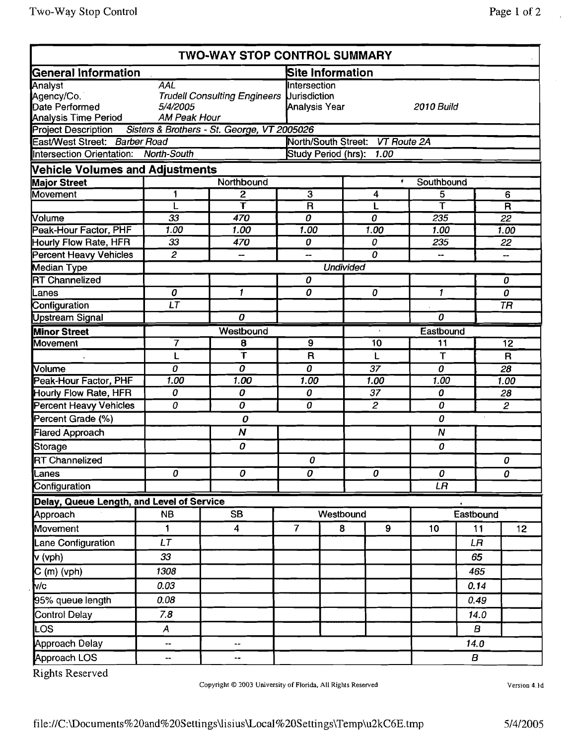| Two-Way Stop Control                                            |                |                                     |                                  |                                 |                          | Page 1 of 2             |  |  |
|-----------------------------------------------------------------|----------------|-------------------------------------|----------------------------------|---------------------------------|--------------------------|-------------------------|--|--|
|                                                                 |                | <b>TWO-WAY STOP CONTROL SUMMARY</b> |                                  |                                 |                          |                         |  |  |
| General Information                                             |                |                                     | Site Information                 |                                 |                          |                         |  |  |
| Analyst                                                         | AAL            |                                     | Intersection                     |                                 |                          |                         |  |  |
| Agency/Co.                                                      |                | <b>Trudell Consulting Engineers</b> | <b>Uurisdiction</b>              |                                 |                          |                         |  |  |
| Date Performed                                                  | 5/4/2005       |                                     | Analysis Year                    |                                 | 2010 Build               |                         |  |  |
| <b>Analysis Time Period</b>                                     | AM Peak Hour   |                                     |                                  |                                 |                          |                         |  |  |
| Project Description Sisters & Brothers - St. George, VT 2005026 |                |                                     |                                  |                                 |                          |                         |  |  |
| East/West Street: Barber Road                                   |                |                                     |                                  | North/South Street: VT Route 2A |                          |                         |  |  |
| Intersection Orientation: North-South                           |                |                                     | Study Period (hrs):              | 1.00                            |                          |                         |  |  |
| <b>Vehicle Volumes and Adjustments</b>                          |                |                                     |                                  |                                 |                          |                         |  |  |
| <b>Major Street</b>                                             |                | Northbound                          |                                  | Southbound<br>Ť                 |                          |                         |  |  |
| <b>Movement</b>                                                 | 1              | 2                                   | $\overline{3}$                   | 4                               | 5                        | 6                       |  |  |
|                                                                 | L              | т                                   | $\overline{\mathsf{R}}$          |                                 | Ŧ                        | $\overline{\mathsf{R}}$ |  |  |
| Volume                                                          | 33             | 470                                 | $\overline{o}$                   | 0                               | 235                      | $\overline{22}$         |  |  |
| Peak-Hour Factor, PHF                                           | 1.00           | 1.00                                | 1.00                             | 1.00                            | 1.00                     | 1.00                    |  |  |
| Hourly Flow Rate, HFR                                           | 33             | 470                                 | 0                                | 0                               | 235                      | 22                      |  |  |
| <b>Percent Heavy Vehicles</b>                                   | $\overline{c}$ | --                                  | --                               | 0                               | $\overline{\phantom{a}}$ | --                      |  |  |
| Median Type                                                     |                |                                     |                                  | <b>Undivided</b>                |                          |                         |  |  |
| <b>RT Channelized</b>                                           |                |                                     | 0                                |                                 |                          | 0                       |  |  |
| Lanes                                                           | 0              | 1                                   | 0                                | $\boldsymbol{0}$                | 1                        | 0                       |  |  |
| Configuration                                                   | LT             |                                     |                                  |                                 |                          | <b>TR</b>               |  |  |
| <b>Upstream Signal</b>                                          |                | 0                                   |                                  |                                 | 0                        |                         |  |  |
| <b>Minor Street</b>                                             |                | Westbound                           |                                  |                                 | Eastbound                |                         |  |  |
| <b>Movement</b>                                                 | 7              | 8                                   | <b>9</b>                         | 10                              | 11                       | 12                      |  |  |
|                                                                 | L              | $\mathbf T$                         | $\mathsf{R}$                     | L                               | T                        | $\mathsf{R}$            |  |  |
| <b>Volume</b>                                                   | 0              | $\overline{o}$                      | $\overline{\boldsymbol{\theta}}$ | 37                              | $\boldsymbol{o}$         | 28                      |  |  |
| Peak-Hour Factor, PHF                                           | 1.00           | 1.00                                | 1.00                             | 1.00                            | 1.00                     | 1.00                    |  |  |
| Hourly Flow Poto, HER                                           | $\Omega$       | n.                                  | $\Omega$                         | 27                              | $\Omega$                 | $\Omega$                |  |  |

| Peak-Hour Factor, PHF                     | 1.00                             | 1.00                                               | 1.00                                      |                |  | 1.00                             | 1.00                    |                        | 1.00                     |  |
|-------------------------------------------|----------------------------------|----------------------------------------------------|-------------------------------------------|----------------|--|----------------------------------|-------------------------|------------------------|--------------------------|--|
| Hourly Flow Rate, HFR                     | $\overline{33}$                  | 470                                                | 0                                         |                |  | 0                                | 235                     |                        | 22                       |  |
| <b>Percent Heavy Vehicles</b>             | $\overline{2}$                   | $\overline{\phantom{m}}$                           | --                                        |                |  | $\overline{o}$                   | --                      |                        | -−                       |  |
| <b>Median Type</b>                        |                                  | <b>Undivided</b>                                   |                                           |                |  |                                  |                         |                        |                          |  |
| <b>RT Channelized</b>                     |                                  |                                                    | $\boldsymbol{o}$                          |                |  |                                  |                         |                        | $\boldsymbol{o}$         |  |
| Lanes                                     | $\overline{\boldsymbol{\theta}}$ | $\overline{1}$                                     | 0                                         |                |  | 0                                | $\overline{\mathbf{1}}$ |                        | 0                        |  |
| Configuration                             | $\overline{LT}$                  |                                                    |                                           |                |  |                                  |                         |                        | $\overline{\mathit{TR}}$ |  |
| <b>Upstream Signal</b>                    |                                  | $\overline{o}$                                     |                                           |                |  |                                  | $\overline{o}$          |                        |                          |  |
| <b>Minor Street</b>                       |                                  | Westbound                                          |                                           |                |  |                                  | Eastbound               |                        |                          |  |
| <b>Movement</b>                           | $\overline{\mathbf{7}}$          | $\overline{\mathbf{8}}$<br>$\overline{\mathsf{T}}$ | $\overline{9}$<br>$\overline{\mathsf{R}}$ |                |  | 10<br>L                          | $\overline{11}$<br>T    |                        | 12<br>$\mathsf{R}$       |  |
| Volume                                    | L<br>$\overline{o}$              | $\overline{o}$                                     | $\overline{\boldsymbol{\theta}}$          |                |  | $\overline{37}$                  | $\overline{o}$          |                        | $\overline{28}$          |  |
| Peak-Hour Factor, PHF                     | 1.00                             | 1.00                                               | 1.00                                      |                |  | 1.00                             | 1.00                    |                        | 1.00                     |  |
| Hourly Flow Rate, HFR                     | 0                                | $\boldsymbol{o}$                                   | $\pmb{o}$                                 |                |  | $\overline{37}$                  | 0                       |                        | 28                       |  |
| <b>Percent Heavy Vehicles</b>             | $\overline{o}$                   | $\overline{o}$                                     | $\overline{o}$                            | $\overline{2}$ |  |                                  | $\overline{o}$          |                        | $\overline{2}$           |  |
| Percent Grade (%)                         |                                  | 0                                                  |                                           |                |  |                                  | 0                       |                        |                          |  |
| <b>Flared Approach</b>                    |                                  | $\overline{\mathsf{N}}$                            |                                           |                |  |                                  | $\overline{\mathsf{N}}$ |                        |                          |  |
| Storage                                   |                                  | 0                                                  |                                           |                |  |                                  | 0                       |                        |                          |  |
| <b>RT Channelized</b>                     |                                  |                                                    | 0                                         |                |  |                                  |                         |                        | 0                        |  |
| Lanes                                     | $\overline{\boldsymbol{\theta}}$ | $\overline{o}$                                     | $\overline{\boldsymbol{\theta}}$          |                |  | $\overline{\boldsymbol{\theta}}$ | 0                       |                        | 0                        |  |
| Configuration                             |                                  |                                                    |                                           |                |  |                                  | LR                      |                        |                          |  |
| Delay, Queue Length, and Level of Service |                                  |                                                    |                                           |                |  |                                  |                         |                        |                          |  |
| Approach                                  | <b>NB</b>                        | <b>SB</b>                                          |                                           | Westbound      |  |                                  |                         | Eastbound              |                          |  |
| Movement                                  | 1                                | $\overline{4}$                                     | $\overline{7}$                            | 8              |  | 9                                | 10                      | 11                     | 12                       |  |
| Lane Configuration                        | LT                               |                                                    |                                           |                |  |                                  |                         | $\mathsf{L}\mathsf{R}$ |                          |  |
| v (vph)                                   | 33                               |                                                    |                                           |                |  |                                  |                         | 65                     |                          |  |
| $C(m)$ (vph)                              | 1308                             |                                                    |                                           |                |  |                                  |                         | 465                    |                          |  |
| v/c                                       | 0.03                             |                                                    |                                           |                |  |                                  |                         | 0.14                   |                          |  |
| 95% queue length                          | 0.08                             |                                                    |                                           |                |  |                                  |                         | 0.49                   |                          |  |
| <b>Control Delay</b>                      | 7.8                              |                                                    |                                           |                |  |                                  |                         | 14.0                   |                          |  |
| LOS                                       | $\boldsymbol{A}$                 |                                                    |                                           |                |  |                                  |                         | В                      |                          |  |
| Approach Delay                            | Ξ.                               | --                                                 |                                           |                |  |                                  |                         | 14.0                   |                          |  |
| Approach LOS                              | --                               | $\overline{\phantom{a}}$                           |                                           |                |  |                                  |                         | $\boldsymbol{B}$       |                          |  |
| Rights Reserved                           |                                  |                                                    |                                           |                |  |                                  |                         |                        |                          |  |

Rights Reserved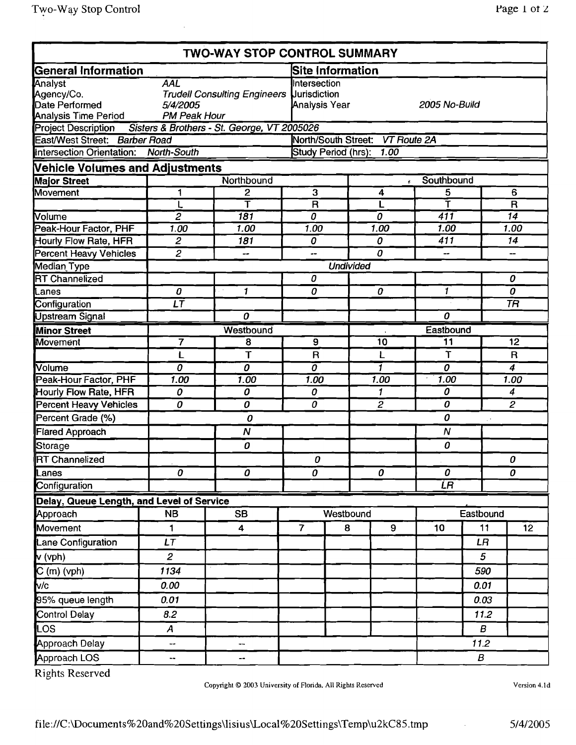|                                                                        |                                        | <b>TWO-WAY STOP CONTROL SUMMARY</b>              |                                      |                                                |                                 |                  |                            |                         |  |
|------------------------------------------------------------------------|----------------------------------------|--------------------------------------------------|--------------------------------------|------------------------------------------------|---------------------------------|------------------|----------------------------|-------------------------|--|
| <b>General Information</b>                                             |                                        |                                                  |                                      | Site Information                               |                                 |                  |                            |                         |  |
| <b>Analyst</b><br>Agency/Co.<br>Date Performed<br>Analysis Time Period | AĀL<br>5/4/2005<br><b>PM Peak Hour</b> | <b>Trudell Consulting Engineers Uurisdiction</b> |                                      | Intersection<br>Analysis Year<br>2005 No-Build |                                 |                  |                            |                         |  |
| Project Description Sisters & Brothers - St. George, VT 2005026        |                                        |                                                  |                                      |                                                |                                 |                  |                            |                         |  |
| East/West Street: Barber Road                                          |                                        |                                                  |                                      |                                                | North/South Street: VT Route 2A |                  |                            |                         |  |
| Intersection Orientation: North-South                                  |                                        |                                                  |                                      | Study Period (hrs): 1.00                       |                                 |                  |                            |                         |  |
| <b>Vehicle Volumes and Adjustments</b>                                 |                                        |                                                  |                                      |                                                |                                 |                  |                            |                         |  |
| <b>Major Street</b>                                                    |                                        | Northbound                                       | $\tilde{\mathbf{r}}$                 |                                                |                                 | Southbound       |                            |                         |  |
| Movement                                                               |                                        | 2                                                | $\overline{3}$                       |                                                | 4                               | 5                |                            | 6                       |  |
|                                                                        |                                        |                                                  | $\overline{\mathbf{R}}$              |                                                | L                               | Ŧ                |                            | $\overline{\mathsf{R}}$ |  |
| Volume                                                                 | $\overline{2}$                         | $\overline{181}$                                 | 0                                    |                                                | 0                               | $\overline{411}$ |                            | 14                      |  |
| Peak-Hour Factor, PHF                                                  | 1.00                                   | 1.00                                             | 1.00                                 |                                                | 1.00                            | 1.00             |                            | 1.00                    |  |
| Hourly Flow Rate, HFR                                                  | $\overline{c}$                         | 181                                              | 0                                    |                                                | 0                               | 411              |                            | 14                      |  |
| <b>Percent Heavy Vehicles</b>                                          | $\overline{c}$                         | --                                               | --                                   |                                                | 0                               |                  |                            |                         |  |
| <b>Median Type</b><br><b>RT</b> Channelized                            |                                        |                                                  |                                      | <b>Undivided</b>                               |                                 |                  |                            |                         |  |
|                                                                        | 0                                      | 1                                                | 0<br>0                               |                                                | 0                               | $\mathbf{1}$     |                            | 0<br>0                  |  |
| Lanes<br>Configuration                                                 | $\overline{LT}$                        |                                                  |                                      |                                                |                                 |                  |                            | <b>TR</b>               |  |
| <b>Upstream Signal</b>                                                 |                                        | 0                                                |                                      |                                                |                                 | 0                |                            |                         |  |
|                                                                        |                                        | Westbound                                        |                                      |                                                |                                 | Eastbound        |                            |                         |  |
| <b>Minor Street</b><br>Movement                                        | 7                                      | 8                                                | $\overline{9}$                       | 10                                             |                                 | $\overline{1}1$  |                            | $\overline{12}$         |  |
|                                                                        | L                                      | T                                                | $\mathsf{R}$                         |                                                | L                               | T                |                            | $\mathsf R$             |  |
| Volume                                                                 | $\overline{o}$                         | $\overline{o}$                                   | $\overline{o}$                       |                                                | 1                               | $\overline{o}$   |                            | $\overline{4}$          |  |
| Peak-Hour Factor, PHF                                                  | 1.00                                   | 1.00                                             | 1.00                                 |                                                | 1.00                            | 1.00             |                            | 1.00                    |  |
| Hourly Flow Rate, HFR                                                  | $\boldsymbol{0}$                       | 0                                                | $\boldsymbol{o}$                     |                                                | $\mathbf{1}$                    | 0                |                            | $\overline{\mathbf{4}}$ |  |
| <b>Percent Heavy Vehicles</b>                                          | 0                                      | 0                                                | 0                                    |                                                | $\overline{2}$                  | 0                |                            | $\overline{2}$          |  |
| Percent Grade (%)                                                      |                                        | 0                                                |                                      |                                                |                                 | 0                | $\mathbb{R}^{\mathcal{A}}$ |                         |  |
| Flared Approach                                                        |                                        | $\overline{N}$                                   |                                      |                                                |                                 | $\boldsymbol{N}$ |                            |                         |  |
| Storage                                                                |                                        | 0                                                |                                      |                                                |                                 | 0                |                            |                         |  |
| <b>RT</b> Channelized                                                  |                                        |                                                  | O.                                   |                                                |                                 |                  |                            | 0                       |  |
| Lanes                                                                  | 0                                      | Ō                                                | $\overline{\boldsymbol{\mathit{o}}}$ |                                                | 0                               | $\overline{o}$   |                            | 0                       |  |
| Configuration                                                          |                                        |                                                  |                                      |                                                |                                 | ĽЯ               |                            |                         |  |
| Delay, Queue Length, and Level of Service                              |                                        |                                                  |                                      |                                                |                                 |                  |                            |                         |  |
| Approach                                                               | <b>NB</b>                              | <b>SB</b>                                        |                                      | Westbound                                      |                                 |                  | Eastbound                  |                         |  |
| Movement                                                               | 1                                      | 4                                                | $\overline{7}$                       | 8                                              | 9                               | 10               | 11                         | 12                      |  |
| Lane Configuration                                                     | LT                                     |                                                  |                                      |                                                |                                 |                  | LR                         |                         |  |
| $\mathbf{v}$ (vph)                                                     | $\overline{2}$                         |                                                  |                                      |                                                |                                 |                  | 5                          |                         |  |
| $C(m)$ (vph)                                                           | 1134                                   |                                                  |                                      |                                                |                                 |                  | 590                        |                         |  |
| V/c                                                                    | 0.00                                   |                                                  |                                      |                                                |                                 |                  | 0.01                       |                         |  |
| 95% queue length                                                       | 0.01                                   |                                                  |                                      |                                                |                                 |                  | 0.03                       |                         |  |
| <b>Control Delay</b>                                                   | 8.2                                    |                                                  |                                      |                                                |                                 |                  | 11.2                       |                         |  |
| LOS                                                                    | $\boldsymbol{A}$                       |                                                  |                                      |                                                |                                 |                  | B                          |                         |  |
| <b>Approach Delay</b>                                                  | --                                     | ⊷                                                |                                      |                                                |                                 |                  | 11.2                       |                         |  |
| Approach LOS                                                           | ۰.                                     |                                                  |                                      |                                                |                                 |                  | B                          |                         |  |

Copyright © 2003 University of Florida, All Rights Reserved

Version 4.Jd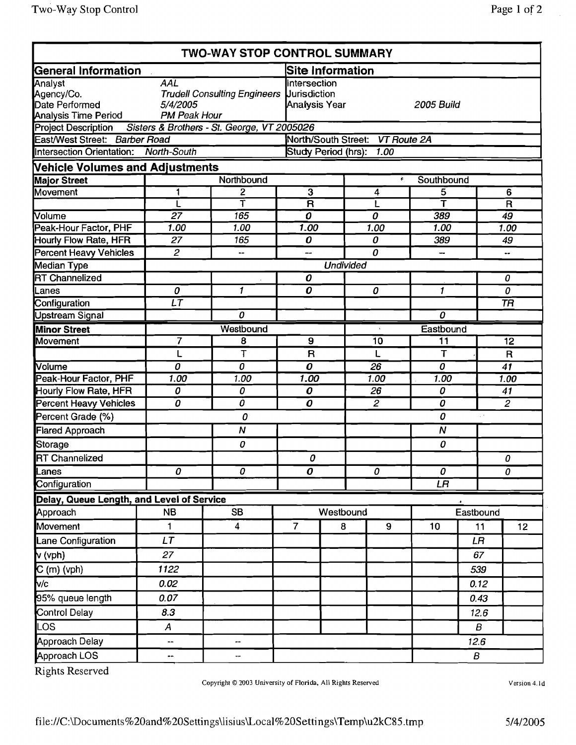|                                           |                                             | <b>TWO-WAY STOP CONTROL SUMMARY</b>              |                                                    |                  |  |                                 |                         |           |                 |
|-------------------------------------------|---------------------------------------------|--------------------------------------------------|----------------------------------------------------|------------------|--|---------------------------------|-------------------------|-----------|-----------------|
| <b>General Information</b>                |                                             |                                                  | <b>Site Information</b>                            |                  |  |                                 |                         |           |                 |
| Analyst<br>Agency/Co.<br>Date Performed   | $A\overline{A\overline{L}}$<br>5/4/2005     | <b>Trudell Consulting Engineers Uurisdiction</b> | Intersection<br>Analysis Year<br><b>2005 Build</b> |                  |  |                                 |                         |           |                 |
| Analysis Time Period                      | <b>PM Peak Hour</b>                         |                                                  |                                                    |                  |  |                                 |                         |           |                 |
| Project Description                       | Sisters & Brothers - St. George, VT 2005026 |                                                  |                                                    |                  |  |                                 |                         |           |                 |
| East/West Street: Barber Road             |                                             |                                                  |                                                    |                  |  | North/South Street: VT Route 2A |                         |           |                 |
| Intersection Orientation:                 | <b>North-South</b>                          |                                                  | Study Period (hrs): 1.00                           |                  |  |                                 |                         |           |                 |
| <b>Vehicle Volumes and Adjustments</b>    |                                             |                                                  |                                                    |                  |  |                                 |                         |           |                 |
| <b>Major Street</b>                       |                                             | Northbound                                       |                                                    |                  |  | ğ.                              | Southbound              |           |                 |
| Movement                                  | 1                                           | $\mathbf{2}$                                     | 3                                                  |                  |  | 4                               | 5                       |           | $6\phantom{1}$  |
|                                           | L                                           | Ŧ                                                | $\overline{\mathsf{R}}$                            |                  |  | L                               | $\overline{\mathsf{T}}$ |           | $\overline{R}$  |
| Volume                                    | $\overline{27}$                             | 165                                              | 0                                                  |                  |  | 0                               | 389                     |           | 49              |
| <b>Peak-Hour Factor, PHF</b>              | 1.00                                        | 1.00                                             | 1.00                                               |                  |  | 1.00                            | $\overline{1.00}$       |           | 1.00            |
| Hourly Flow Rate, HFR                     | 27                                          | 165                                              | 0                                                  |                  |  | 0                               | 389                     |           | 49              |
| <b>Percent Heavy Vehicles</b>             | $\mathbf{2}$                                |                                                  | --                                                 |                  |  | 0                               | ⊷                       |           | ۰.              |
| Median Type                               |                                             |                                                  |                                                    | <b>Undivided</b> |  |                                 |                         |           |                 |
| <b>RT</b> Channelized                     |                                             |                                                  | 0                                                  |                  |  |                                 |                         |           | 0               |
| Lanes                                     | 0                                           | $\mathbf{1}$                                     | 0                                                  |                  |  | 0                               | $\mathbf{1}$            |           | 0               |
| Configuration                             | $\overline{\iota\tau}$                      |                                                  |                                                    |                  |  |                                 |                         |           | <b>TR</b>       |
| <b>Upstream Signal</b>                    |                                             | 0                                                |                                                    |                  |  |                                 | 0                       |           |                 |
| <b>Minor Street</b>                       |                                             | Westbound                                        |                                                    |                  |  | Eastbound                       |                         |           |                 |
| <b>Movement</b>                           | 7                                           | 8                                                | 9                                                  |                  |  | 10                              | 11                      |           | $\overline{12}$ |
|                                           | L                                           | T                                                | $\mathbf R$                                        |                  |  | L                               | T                       |           | $\mathsf{R}$    |
| Volume                                    | 0                                           | 0                                                | 0                                                  |                  |  | $\overline{26}$                 | 0                       |           | $\overline{41}$ |
| Peak-Hour Factor, PHF                     | 1.00                                        | 1.00                                             | 1.00                                               |                  |  | 1.00                            | 1.00                    |           | 1.00            |
| Hourly Flow Rate, HFR                     | 0                                           | 0                                                | 0                                                  |                  |  | 26                              | 0                       |           | 41              |
| <b>Percent Heavy Vehicles</b>             | Ō                                           | Ò                                                | 0                                                  |                  |  | $\overline{2}$                  | 0                       |           | $\overline{2}$  |
| Percent Grade (%)                         |                                             | 0                                                |                                                    |                  |  |                                 | 0                       |           |                 |
| <b>Flared Approach</b>                    |                                             | N                                                |                                                    |                  |  |                                 | $\boldsymbol{N}$        |           |                 |
| Storage                                   |                                             | 0                                                |                                                    |                  |  |                                 | 0                       |           |                 |
| <b>RT Channelized</b>                     | 0                                           | 0                                                | 0                                                  |                  |  |                                 |                         |           | 0               |
| Lanes<br>Configuration                    |                                             |                                                  | $\boldsymbol{o}$                                   |                  |  | 0                               | 0<br>LR                 |           | 0               |
| Delay, Queue Length, and Level of Service |                                             |                                                  |                                                    |                  |  |                                 |                         |           |                 |
| Approach                                  | <b>NB</b>                                   | <b>SB</b>                                        |                                                    | Westbound        |  |                                 |                         | Eastbound |                 |
| Movement                                  | 1                                           | 4                                                | $\overline{7}$                                     | 8                |  | $\boldsymbol{9}$                | 10                      | 11        | 12              |
| Lane Configuration                        | <b>LT</b>                                   |                                                  |                                                    |                  |  |                                 |                         | LR        |                 |
| $\mathsf{v}$ (vph)                        | 27                                          |                                                  |                                                    |                  |  |                                 |                         | 67        |                 |
|                                           | 1122                                        |                                                  |                                                    |                  |  |                                 |                         | 539       |                 |
| C (m) (vph)<br>v/c                        | 0.02                                        |                                                  |                                                    |                  |  |                                 |                         | 0.12      |                 |
| 95% queue length                          | 0.07                                        |                                                  |                                                    |                  |  |                                 |                         | 0.43      |                 |
| Control Delay                             | 8.3                                         |                                                  |                                                    |                  |  |                                 |                         | 12.6      |                 |
| LOS                                       | $\boldsymbol{A}$                            |                                                  |                                                    |                  |  |                                 |                         | B         |                 |
| Approach Delay                            | --                                          | --                                               |                                                    |                  |  |                                 |                         | 12.6      |                 |
| Approach LOS                              | --                                          | --                                               |                                                    |                  |  |                                 |                         | B         |                 |

Copyright © 2003 University of Florida, All Rights Reserved

Version 4, Id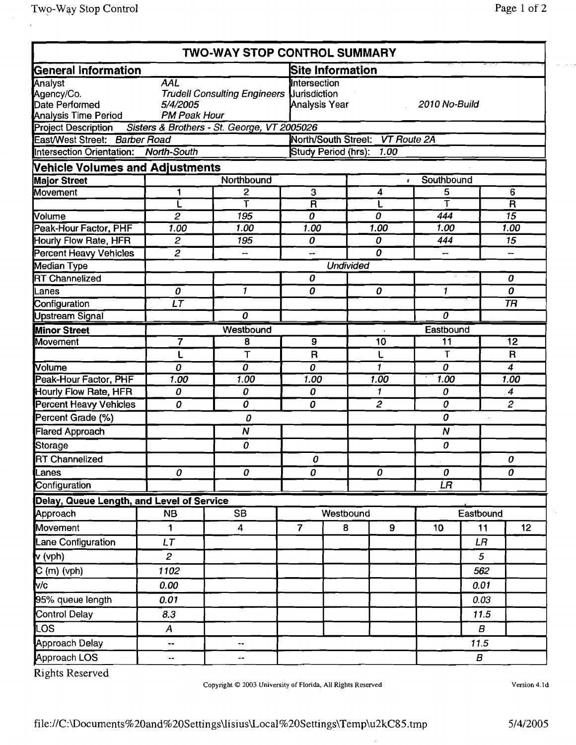|                                                                 |                        | TWO-WAY STOP CONTROL SUMMARY                     |                         |                         |                                  |                |                  |                         |
|-----------------------------------------------------------------|------------------------|--------------------------------------------------|-------------------------|-------------------------|----------------------------------|----------------|------------------|-------------------------|
| General Information                                             |                        |                                                  |                         | <b>Site Information</b> |                                  |                |                  |                         |
| Analyst                                                         | <b>AAL</b>             |                                                  | Intersection            |                         |                                  |                |                  |                         |
| Agency/Co.                                                      |                        | <b>Trudell Consulting Engineers Uurisdiction</b> |                         |                         |                                  |                |                  |                         |
| Date Performed                                                  | 5/4/2005               |                                                  | Analysis Year           |                         |                                  | 2010 No-Build  |                  |                         |
| <b>Analysis Time Period</b>                                     | <b>PM Peak Hour</b>    |                                                  |                         |                         |                                  |                |                  |                         |
| Project Description Sisters & Brothers - St. George, VT 2005026 |                        |                                                  |                         |                         |                                  |                |                  |                         |
| East/West Street: Barber Road                                   |                        |                                                  |                         |                         | North/South Street: VT Route 2A  |                |                  |                         |
| <b>Intersection Orientation:</b>                                | North-South            |                                                  |                         | Study Period (hrs):     | 1.00                             |                |                  |                         |
| <b>Vehicle Volumes and Adjustments</b>                          |                        |                                                  |                         |                         |                                  |                |                  |                         |
| <b>Major Street</b>                                             |                        | Northbound                                       |                         |                         | ¥.                               | Southbound     |                  |                         |
| Movement                                                        |                        | 2                                                | $\overline{3}$          |                         | 4                                | 5<br>Т         |                  | 6                       |
|                                                                 |                        | т                                                | $\overline{\mathsf{R}}$ |                         | L                                |                |                  | $\overline{\mathsf{R}}$ |
| Volume<br>Peak-Hour Factor, PHF                                 | $\overline{2}$         | 195                                              | $\boldsymbol{\theta}$   |                         | 0                                | 444<br>1.00    |                  | $\overline{15}$         |
|                                                                 | 1.00<br>$\overline{2}$ | 1.00                                             | 1.00                    |                         | 1.00                             |                |                  | 1.00                    |
| Hourly Flow Rate, HFR                                           |                        | 195                                              | 0                       |                         | 0<br>$\boldsymbol{o}$            | 444            |                  | 15                      |
| <b>Percent Heavy Vehicles</b>                                   | $\overline{c}$         | --                                               | --                      |                         |                                  |                |                  |                         |
| <b>Median Type</b>                                              |                        |                                                  |                         | <b>Undivided</b>        |                                  |                |                  |                         |
| <b>RT</b> Channelized                                           |                        |                                                  | 0                       |                         |                                  |                |                  | 0                       |
| Lanes                                                           | 0                      | $\mathbf{1}$                                     | 0                       |                         | 0                                | $\mathbf{1}$   |                  | 0                       |
| Configuration                                                   | LT                     |                                                  |                         |                         |                                  |                |                  | <b>TR</b>               |
| <b>Upstream Signal</b>                                          |                        | $\overline{o}$                                   |                         |                         |                                  | $\overline{o}$ |                  |                         |
| <b>Minor Street</b>                                             |                        | Westbound                                        |                         |                         |                                  | Eastbound      |                  |                         |
| <b>Movement</b>                                                 | 7                      | 8                                                | $\overline{\mathbf{g}}$ |                         | 10                               | 11             |                  | $\overline{12}$         |
|                                                                 |                        | T                                                | $\mathsf{R}$            |                         | L                                | T              |                  | $\mathsf{R}$            |
| <b>Volume</b>                                                   | 0                      | $\overline{o}$                                   | 0                       |                         | $\mathbf{f}$                     | 0              |                  | 4                       |
| Peak-Hour Factor, PHF                                           | 1.00                   | 1.00                                             | 1.00                    |                         | 1.00                             | 1.00           |                  | 1.00                    |
| Hourly Flow Rate, HFR                                           | 0                      | 0                                                | 0                       |                         | 1                                | 0              |                  | $\overline{4}$          |
| <b>Percent Heavy Vehicles</b>                                   | 0                      | $\overline{o}$                                   | 0                       |                         | $\overline{c}$                   | 0              |                  | $\overline{2}$          |
| Percent Grade (%)                                               |                        | 0                                                |                         |                         |                                  | 0              |                  |                         |
| <b>Flared Approach</b>                                          |                        | $\overline{\mathsf{N}}$                          |                         |                         |                                  | N              |                  |                         |
| Storage                                                         |                        | 0                                                |                         |                         |                                  | 0              |                  |                         |
| <b>RT Channelized</b>                                           |                        |                                                  | 0                       |                         |                                  |                |                  | 0                       |
| Lanes                                                           | 0                      | 0                                                | 0                       |                         | $\overline{\boldsymbol{\theta}}$ | 0              |                  | $\overline{o}$          |
| Configuration                                                   |                        |                                                  |                         |                         |                                  | ĹR             |                  |                         |
| Delay, Queue Length, and Level of Service                       |                        |                                                  |                         |                         |                                  |                |                  |                         |
| Approach                                                        | <b>NB</b>              | <b>SB</b>                                        |                         | Westbound               |                                  |                | Eastbound        |                         |
| Movement                                                        | 1                      | 4                                                | $\overline{7}$          | 8                       | 9                                | 10             | 11               | 12 <sub>2</sub>         |
| Lane Configuration                                              | LT                     |                                                  |                         |                         |                                  |                | LR               |                         |
| $\mathbf{v}$ (vph)                                              | $\overline{a}$         |                                                  |                         |                         |                                  |                | 5                |                         |
| $C(m)$ (vph)                                                    | 1102                   |                                                  |                         |                         |                                  |                | 562              |                         |
| V/c                                                             | 0.00                   |                                                  |                         |                         |                                  |                | 0.01             |                         |
| 95% queue length                                                | 0.01                   |                                                  |                         |                         |                                  |                | 0.03             |                         |
| <b>Control Delay</b>                                            | 8.3                    |                                                  |                         |                         |                                  |                | 11.5             |                         |
| LOS.                                                            | $\boldsymbol{A}$       |                                                  |                         |                         |                                  |                | $\boldsymbol{B}$ |                         |
| Approach Delay                                                  | --                     | --                                               |                         |                         |                                  |                | 11.5             |                         |
| Approach LOS                                                    | ۰.                     | ⊷                                                |                         |                         |                                  |                | $\boldsymbol{B}$ |                         |

Copyright © 2003 University of Florida, All Rights Reserved

Version 4.1d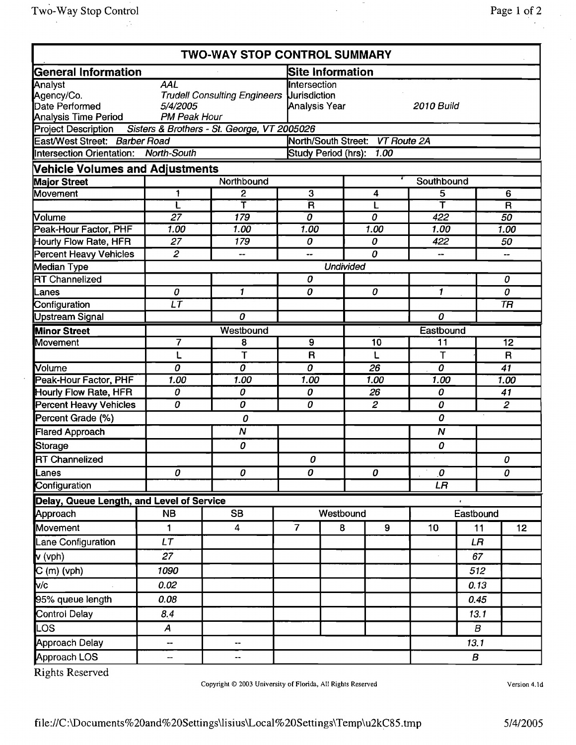|                                                                        |                                               | <b>TWO-WAY STOP CONTROL SUMMARY</b> |                         |                                                                           |                                 |                       |                  |                         |
|------------------------------------------------------------------------|-----------------------------------------------|-------------------------------------|-------------------------|---------------------------------------------------------------------------|---------------------------------|-----------------------|------------------|-------------------------|
| General Information                                                    |                                               |                                     |                         | <b>Site Information</b>                                                   |                                 |                       |                  |                         |
| Analyst<br>Agency/Co.<br>Date Performed<br><b>Analysis Time Period</b> | <b>AAL</b><br>5/4/2005<br><b>PM Peak Hour</b> | <b>Trudell Consulting Engineers</b> |                         | <b>Intersection</b><br><b>Uurisdiction</b><br>Analysis Year<br>2010 Build |                                 |                       |                  |                         |
| Project Description Sisters & Brothers - St. George, VT 2005026        |                                               |                                     |                         |                                                                           |                                 |                       |                  |                         |
| East/West Street: Barber Road                                          |                                               |                                     |                         |                                                                           | North/South Street: VT Route 2A |                       |                  |                         |
| Intersection Orientation: North-South                                  |                                               |                                     |                         | Study Period (hrs): 1.00                                                  |                                 |                       |                  |                         |
| <b>Vehicle Volumes and Adjustments</b>                                 |                                               |                                     |                         |                                                                           |                                 |                       |                  |                         |
| <b>Major Street</b>                                                    |                                               | Northbound                          |                         |                                                                           |                                 | Southbound            |                  |                         |
| Movement                                                               | 1                                             | 2                                   | $\overline{3}$          |                                                                           | 4                               | 5                     |                  | 6                       |
|                                                                        | L                                             | Т                                   | $\overline{\mathsf{R}}$ |                                                                           | L                               | Ť                     |                  | $\overline{\mathsf{R}}$ |
| <b>Nolume</b>                                                          | $\overline{27}$                               | 179                                 | 0                       |                                                                           | 0                               | 422                   |                  | 50                      |
| Peak-Hour Factor, PHF                                                  | 1.00                                          | 1.00                                | 1.00                    |                                                                           | 1.00                            | 1.00                  |                  | 1.00                    |
| Hourly Flow Rate, HFR                                                  | 27                                            | 179                                 | 0                       |                                                                           | 0                               | 422                   |                  | 50                      |
| Percent Heavy Vehicles                                                 | $\overline{2}$                                | $\overline{\phantom{a}}$            | --                      |                                                                           | 0                               | $-$                   |                  | --                      |
| <b>Median Type</b><br><b>RT Channelized</b>                            |                                               |                                     |                         | <b>Undivided</b>                                                          |                                 |                       |                  |                         |
|                                                                        |                                               | $\mathbf{1}$                        | 0                       |                                                                           |                                 |                       |                  | 0                       |
| Lanes                                                                  | 0<br>$\overline{\iota\tau}$                   |                                     |                         | 0<br>0                                                                    |                                 | 1                     |                  | 0<br>T <sub>H</sub>     |
| Configuration                                                          |                                               | 0                                   |                         |                                                                           |                                 | 0                     |                  |                         |
| Upstream Signal                                                        |                                               |                                     |                         |                                                                           |                                 |                       |                  |                         |
| <b>Minor Street</b><br><b>Movement</b>                                 | $\overline{\mathbf{7}}$                       | Westbound                           | 9                       |                                                                           |                                 | Eastbound<br>11       |                  | $\overline{12}$         |
|                                                                        |                                               | 8<br>T                              | $\mathsf R$             |                                                                           | 10                              |                       |                  |                         |
|                                                                        | L                                             | $\overline{o}$                      |                         |                                                                           | L                               | T<br>$\overline{o}$   |                  | $\mathsf R$             |
| Volume<br>Peak-Hour Factor, PHF                                        | $\overline{0}$<br>1.00                        | 1.00                                | $\overline{o}$<br>1.00  |                                                                           | 26<br>1.00                      | 1.00                  |                  | $\overline{41}$<br>1.00 |
| Hourly Flow Rate, HFR                                                  | 0                                             | 0                                   | 0                       |                                                                           | 26                              | 0                     |                  | 41                      |
| <b>Percent Heavy Vehicles</b>                                          | $\overline{o}$                                | $\overline{o}$                      | $\overline{o}$          |                                                                           | $\overline{2}$                  | 0                     |                  | $\overline{2}$          |
| Percent Grade (%)                                                      |                                               | 0                                   |                         |                                                                           |                                 | 0                     |                  |                         |
| <b>Flared Approach</b>                                                 |                                               | $\boldsymbol{N}$                    |                         |                                                                           |                                 | $\boldsymbol{N}$      |                  |                         |
|                                                                        |                                               | 0                                   |                         |                                                                           |                                 | 0                     |                  |                         |
| <b>Storage</b><br><b>RT</b> Channelized                                |                                               |                                     | 0                       |                                                                           |                                 |                       |                  | 0                       |
| Lanes                                                                  | 0                                             | 0                                   | 0                       |                                                                           | 0                               | $\boldsymbol{\theta}$ |                  | 0                       |
| Configuration                                                          |                                               |                                     |                         |                                                                           |                                 | LR                    |                  |                         |
| Delay, Queue Length, and Level of Service                              |                                               |                                     |                         |                                                                           |                                 |                       |                  |                         |
| Approach                                                               | <b>NB</b>                                     | <b>SB</b>                           |                         | Westbound                                                                 |                                 |                       | Eastbound        |                         |
| Movement                                                               | 1                                             | 4                                   | $\overline{7}$          | 8                                                                         | 9                               | 10                    | 11               | 12                      |
| Lane Configuration                                                     | LT                                            |                                     |                         |                                                                           |                                 |                       | LR.              |                         |
| $\mathbf{v}$ (vph)                                                     | 27                                            |                                     |                         |                                                                           |                                 |                       | 67               |                         |
| $\mathbf{C}$ (m) (vph)                                                 | 1090                                          |                                     |                         |                                                                           |                                 |                       | 512              |                         |
| <b>M</b> /c                                                            | 0.02                                          |                                     |                         |                                                                           |                                 |                       | 0.13             |                         |
| 95% queue length                                                       | 0.08                                          |                                     |                         |                                                                           |                                 |                       | 0.45             |                         |
| <b>Control Delay</b>                                                   | 8.4                                           |                                     |                         |                                                                           |                                 |                       | 13.1             |                         |
| LOS.                                                                   | $\boldsymbol{A}$                              |                                     |                         |                                                                           |                                 |                       | B                |                         |
| Approach Delay                                                         | --                                            | $\qquad \qquad \cdots$              |                         |                                                                           |                                 |                       | 13.1             |                         |
| Approach LOS                                                           | --                                            |                                     |                         |                                                                           |                                 |                       | $\boldsymbol{B}$ |                         |

Copyright © 2003 University of Florida. All Rights Reserved

Version 4.1d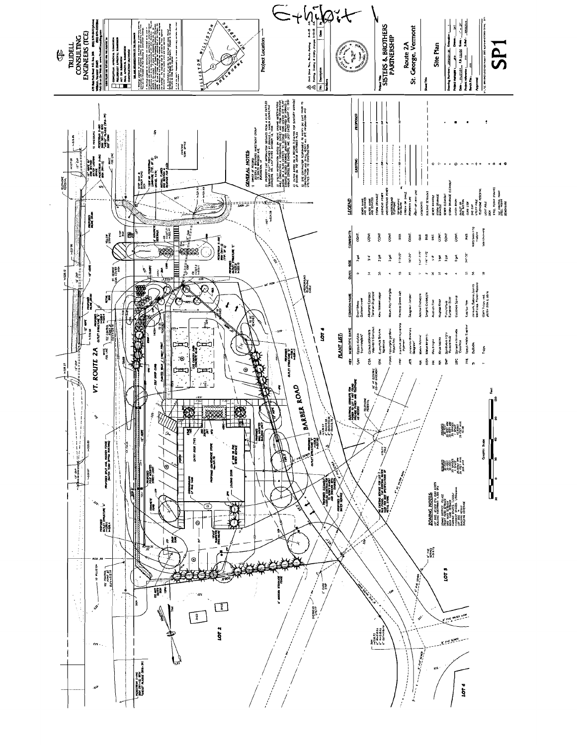